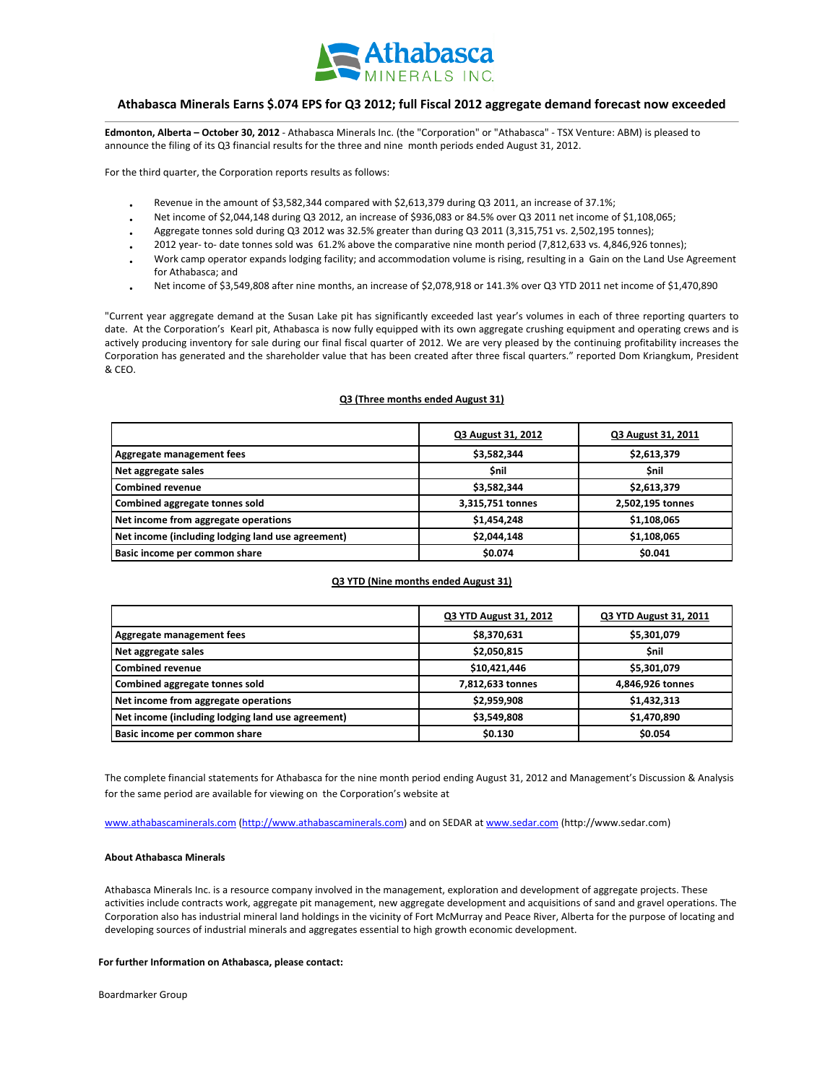

# **Athabasca Minerals Earns \$.074 EPS for Q3 2012; full Fiscal 2012 aggregate demand forecast now exceeded**

 **Edmonton, Alberta – October 30, 2012** ‐ Athabasca Minerals Inc. (the "Corporation" or "Athabasca" ‐ TSX Venture: ABM) is pleased to announce the filing of its Q3 financial results for the three and nine month periods ended August 31, 2012.

For the third quarter, the Corporation reports results as follows:

- Revenue in the amount of \$3,582,344 compared with \$2,613,379 during Q3 2011, an increase of 37.1%;
- Net income of \$2,044,148 during Q3 2012, an increase of \$936,083 or 84.5% over Q3 2011 net income of \$1,108,065;
- Aggregate tonnes sold during Q3 2012 was 32.5% greater than during Q3 2011 (3,315,751 vs. 2,502,195 tonnes);
- 2012 year-to-date tonnes sold was 61.2% above the comparative nine month period (7,812,633 vs. 4,846,926 tonnes);
- Work camp operator expands lodging facility; and accommodation volume is rising, resulting in a Gain on the Land Use Agreement for Athabasca; and
- Net income of \$3,549,808 after nine months, an increase of \$2,078,918 or 141.3% over Q3 YTD 2011 net income of \$1,470,890

"Current year aggregate demand at the Susan Lake pit has significantly exceeded last year's volumes in each of three reporting quarters to date. At the Corporation's Kearl pit, Athabasca is now fully equipped with its own aggregate crushing equipment and operating crews and is actively producing inventory for sale during our final fiscal quarter of 2012. We are very pleased by the continuing profitability increases the Corporation has generated and the shareholder value that has been created after three fiscal quarters." reported Dom Kriangkum, President & CEO.

## **Q3 (Three months ended August 31)**

|                                                   | Q3 August 31, 2012 | <b>Q3 August 31, 2011</b> |
|---------------------------------------------------|--------------------|---------------------------|
| Aggregate management fees                         | \$3,582,344        | \$2,613,379               |
| Net aggregate sales                               | <b>Snil</b>        | <b>Snil</b>               |
| <b>Combined revenue</b>                           | \$3,582,344        | \$2,613,379               |
| Combined aggregate tonnes sold                    | 3,315,751 tonnes   | 2,502,195 tonnes          |
| Net income from aggregate operations              | \$1,454,248        | \$1,108,065               |
| Net income (including lodging land use agreement) | \$2,044,148        | \$1,108,065               |
| Basic income per common share                     | \$0.074            | \$0.041                   |

### **Q3 YTD (Nine months ended August 31)**

|                                                   | Q3 YTD August 31, 2012 | Q3 YTD August 31, 2011 |
|---------------------------------------------------|------------------------|------------------------|
| Aggregate management fees                         | \$8,370,631            | \$5,301,079            |
| Net aggregate sales                               | \$2,050,815            | <b>Snil</b>            |
| <b>Combined revenue</b>                           | \$10,421,446           | \$5,301,079            |
| Combined aggregate tonnes sold                    | 7,812,633 tonnes       | 4,846,926 tonnes       |
| Net income from aggregate operations              | \$2,959,908            | \$1,432,313            |
| Net income (including lodging land use agreement) | \$3,549,808            | \$1,470,890            |
| Basic income per common share                     | \$0.130                | \$0.054                |

The complete financial statements for Athabasca for the nine month period ending August 31, 2012 and Management's Discussion & Analysis for the same period are available for viewing on the Corporation's website at

www.athabascaminerals.com (http://www.athabascaminerals.com) and on SEDAR at www.sedar.com (http://www.sedar.com)

#### **About Athabasca Minerals**

Athabasca Minerals Inc. is a resource company involved in the management, exploration and development of aggregate projects. These activities include contracts work, aggregate pit management, new aggregate development and acquisitions of sand and gravel operations. The Corporation also has industrial mineral land holdings in the vicinity of Fort McMurray and Peace River, Alberta for the purpose of locating and developing sources of industrial minerals and aggregates essential to high growth economic development.

#### **For further Information on Athabasca, please contact:**

Boardmarker Group